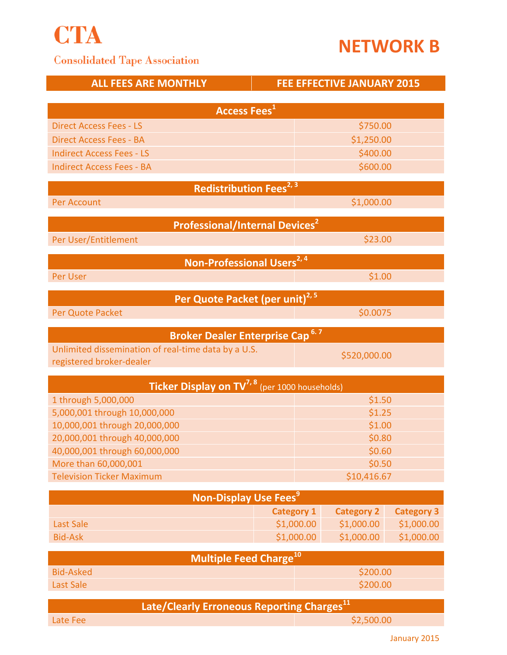

## **NETWORK B**

## **Consolidated Tape Association**

| <b>ALL FEES ARE MONTHLY</b>                                | <b>FEE EFFECTIVE JANUARY 2015</b> |                   |                   |  |
|------------------------------------------------------------|-----------------------------------|-------------------|-------------------|--|
| <b>Access Fees</b> <sup>1</sup>                            |                                   |                   |                   |  |
| <b>Direct Access Fees - LS</b>                             |                                   |                   |                   |  |
| <b>Direct Access Fees - BA</b>                             |                                   | \$750.00          |                   |  |
| <b>Indirect Access Fees - LS</b>                           | \$1,250.00                        |                   |                   |  |
| <b>Indirect Access Fees - BA</b>                           | \$400.00<br>\$600.00              |                   |                   |  |
|                                                            |                                   |                   |                   |  |
| Redistribution Fees <sup>2, 3</sup>                        |                                   |                   |                   |  |
| Per Account                                                | \$1,000.00                        |                   |                   |  |
| <b>Professional/Internal Devices<sup>2</sup></b>           |                                   |                   |                   |  |
| Per User/Entitlement                                       |                                   | \$23.00           |                   |  |
| Non-Professional Users <sup>2, 4</sup>                     |                                   |                   |                   |  |
| Per User                                                   |                                   | \$1.00            |                   |  |
| Per Quote Packet (per unit) <sup>2, 5</sup>                |                                   |                   |                   |  |
| Per Quote Packet                                           |                                   | \$0.0075          |                   |  |
| 6.7<br><b>Broker Dealer Enterprise Cap</b>                 |                                   |                   |                   |  |
| Unlimited dissemination of real-time data by a U.S.        | \$520,000.00                      |                   |                   |  |
| registered broker-dealer                                   |                                   |                   |                   |  |
| Ticker Display on TV <sup>7, 8</sup> (per 1000 households) |                                   |                   |                   |  |
| 1 through 5,000,000                                        | \$1.50                            |                   |                   |  |
| 5,000,001 through 10,000,000                               | \$1.25                            |                   |                   |  |
| 10,000,001 through 20,000,000                              | \$1.00                            |                   |                   |  |
| 20,000,001 through 40,000,000                              | \$0.80                            |                   |                   |  |
| 40,000,001 through 60,000,000                              | \$0.60                            |                   |                   |  |
| More than 60,000,001                                       | \$0.50                            |                   |                   |  |
| <b>Television Ticker Maximum</b>                           | \$10,416.67                       |                   |                   |  |
| <b>Non-Display Use Fees</b> <sup>9</sup>                   |                                   |                   |                   |  |
|                                                            | <b>Category 1</b>                 | <b>Category 2</b> | <b>Category 3</b> |  |
| <b>Last Sale</b>                                           | \$1,000.00                        | \$1,000.00        | \$1,000.00        |  |
| <b>Bid-Ask</b>                                             | \$1,000.00                        | \$1,000.00        | \$1,000.00        |  |
| <b>Multiple Feed Charge<sup>10</sup></b>                   |                                   |                   |                   |  |
| <b>Bid-Asked</b>                                           | \$200.00                          |                   |                   |  |
| <b>Last Sale</b>                                           | \$200.00                          |                   |                   |  |
| Late/Clearly Erroneous Reporting Charges <sup>11</sup>     |                                   |                   |                   |  |
| Late Fee                                                   | \$2,500.00                        |                   |                   |  |

January 2015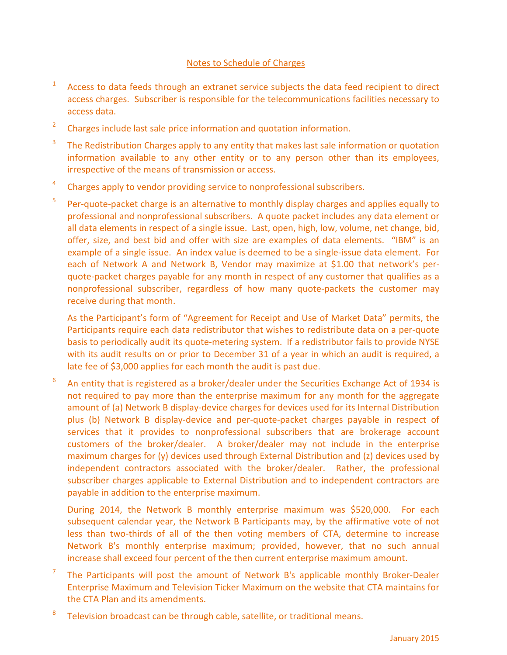## Notes to Schedule of Charges

- 1 Access to data feeds through an extranet service subjects the data feed recipient to direct access charges. Subscriber is responsible for the telecommunications facilities necessary to access data.
- 2 Charges include last sale price information and quotation information.
- 3 The Redistribution Charges apply to any entity that makes last sale information or quotation information available to any other entity or to any person other than its employees, irrespective of the means of transmission or access.
- 4 Charges apply to vendor providing service to nonprofessional subscribers.
- 5 Per-quote-packet charge is an alternative to monthly display charges and applies equally to professional and nonprofessional subscribers. A quote packet includes any data element or all data elements in respect of a single issue. Last, open, high, low, volume, net change, bid, offer, size, and best bid and offer with size are examples of data elements. "IBM" is an example of a single issue. An index value is deemed to be a single-issue data element. For each of Network A and Network B, Vendor may maximize at \$1.00 that network's perquote-packet charges payable for any month in respect of any customer that qualifies as a nonprofessional subscriber, regardless of how many quote-packets the customer may receive during that month.

As the Participant's form of "Agreement for Receipt and Use of Market Data" permits, the Participants require each data redistributor that wishes to redistribute data on a per-quote basis to periodically audit its quote-metering system. If a redistributor fails to provide NYSE with its audit results on or prior to December 31 of a year in which an audit is required, a late fee of \$3,000 applies for each month the audit is past due.

6 An entity that is registered as a broker/dealer under the Securities Exchange Act of 1934 is not required to pay more than the enterprise maximum for any month for the aggregate amount of (a) Network B display-device charges for devices used for its Internal Distribution plus (b) Network B display-device and per-quote-packet charges payable in respect of services that it provides to nonprofessional subscribers that are brokerage account customers of the broker/dealer. A broker/dealer may not include in the enterprise maximum charges for (y) devices used through External Distribution and (z) devices used by independent contractors associated with the broker/dealer. Rather, the professional subscriber charges applicable to External Distribution and to independent contractors are payable in addition to the enterprise maximum.

During 2014, the Network B monthly enterprise maximum was \$520,000. For each subsequent calendar year, the Network B Participants may, by the affirmative vote of not less than two-thirds of all of the then voting members of CTA, determine to increase Network B's monthly enterprise maximum; provided, however, that no such annual increase shall exceed four percent of the then current enterprise maximum amount.

- 7 The Participants will post the amount of Network B's applicable monthly Broker-Dealer Enterprise Maximum and Television Ticker Maximum on the website that CTA maintains for the CTA Plan and its amendments.
- 8 Television broadcast can be through cable, satellite, or traditional means.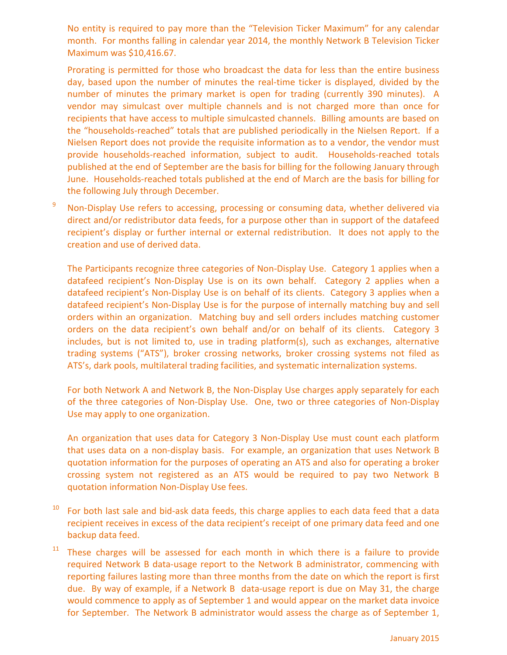No entity is required to pay more than the "Television Ticker Maximum" for any calendar month. For months falling in calendar year 2014, the monthly Network B Television Ticker Maximum was \$10,416.67.

Prorating is permitted for those who broadcast the data for less than the entire business day, based upon the number of minutes the real-time ticker is displayed, divided by the number of minutes the primary market is open for trading (currently 390 minutes). A vendor may simulcast over multiple channels and is not charged more than once for recipients that have access to multiple simulcasted channels. Billing amounts are based on the "households-reached" totals that are published periodically in the Nielsen Report. If a Nielsen Report does not provide the requisite information as to a vendor, the vendor must provide households-reached information, subject to audit. Households-reached totals published at the end of September are the basis for billing for the following January through June. Households-reached totals published at the end of March are the basis for billing for the following July through December.

<sup>9</sup> Non-Display Use refers to accessing, processing or consuming data, whether delivered via direct and/or redistributor data feeds, for a purpose other than in support of the datafeed recipient's display or further internal or external redistribution. It does not apply to the creation and use of derived data.

The Participants recognize three categories of Non-Display Use. Category 1 applies when a datafeed recipient's Non-Display Use is on its own behalf. Category 2 applies when a datafeed recipient's Non-Display Use is on behalf of its clients. Category 3 applies when a datafeed recipient's Non-Display Use is for the purpose of internally matching buy and sell orders within an organization. Matching buy and sell orders includes matching customer orders on the data recipient's own behalf and/or on behalf of its clients. Category 3 includes, but is not limited to, use in trading platform(s), such as exchanges, alternative trading systems ("ATS"), broker crossing networks, broker crossing systems not filed as ATS's, dark pools, multilateral trading facilities, and systematic internalization systems.

For both Network A and Network B, the Non-Display Use charges apply separately for each of the three categories of Non-Display Use. One, two or three categories of Non-Display Use may apply to one organization.

An organization that uses data for Category 3 Non-Display Use must count each platform that uses data on a non-display basis. For example, an organization that uses Network B quotation information for the purposes of operating an ATS and also for operating a broker crossing system not registered as an ATS would be required to pay two Network B quotation information Non-Display Use fees.

- $10$  For both last sale and bid-ask data feeds, this charge applies to each data feed that a data recipient receives in excess of the data recipient's receipt of one primary data feed and one backup data feed.
- $11$  These charges will be assessed for each month in which there is a failure to provide required Network B data-usage report to the Network B administrator, commencing with reporting failures lasting more than three months from the date on which the report is first due. By way of example, if a Network B data-usage report is due on May 31, the charge would commence to apply as of September 1 and would appear on the market data invoice for September. The Network B administrator would assess the charge as of September 1,